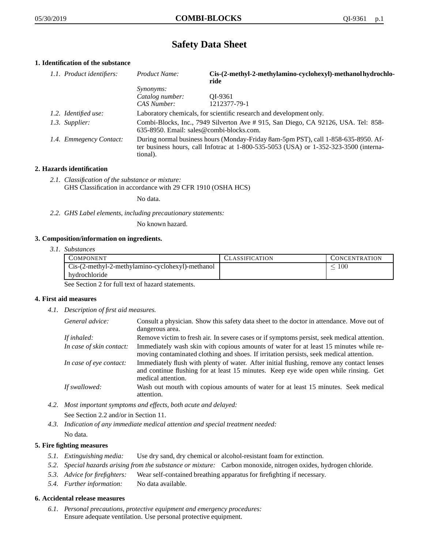# **Safety Data Sheet**

# **1. Identification of the substance**

| 1.1. Product identifiers: | Product Name:                                                                                                                                                                           | Cis-(2-methyl-2-methylamino-cyclohexyl)-methanol hydrochlo-<br>ride |  |
|---------------------------|-----------------------------------------------------------------------------------------------------------------------------------------------------------------------------------------|---------------------------------------------------------------------|--|
|                           | <i>Synonyms:</i>                                                                                                                                                                        |                                                                     |  |
|                           | Catalog number:                                                                                                                                                                         | OI-9361                                                             |  |
|                           | CAS Number:                                                                                                                                                                             | 1212377-79-1                                                        |  |
| 1.2. Identified use:      |                                                                                                                                                                                         | Laboratory chemicals, for scientific research and development only. |  |
| 1.3. Supplier:            | Combi-Blocks, Inc., 7949 Silverton Ave #915, San Diego, CA 92126, USA. Tel: 858-<br>$635-8950$ . Email: sales@combi-blocks.com.                                                         |                                                                     |  |
| 1.4. Emmegency Contact:   | During normal business hours (Monday-Friday 8am-5pm PST), call 1-858-635-8950. Af-<br>ter business hours, call Infotrac at 1-800-535-5053 (USA) or 1-352-323-3500 (interna-<br>tional). |                                                                     |  |

## **2. Hazards identification**

*2.1. Classification of the substance or mixture:* GHS Classification in accordance with 29 CFR 1910 (OSHA HCS)

No data.

*2.2. GHS Label elements, including precautionary statements:*

No known hazard.

## **3. Composition/information on ingredients.**

*3.1. Substances*

| COMPONENT                                        | CLASSIFICATION | <b>CONCENTRATION</b> |
|--------------------------------------------------|----------------|----------------------|
| Cis-(2-methyl-2-methylamino-cyclohexyl)-methanol |                | 100                  |
| hydrochloride                                    |                |                      |

See Section 2 for full text of hazard statements.

## **4. First aid measures**

*4.1. Description of first aid measures.*

| General advice:          | Consult a physician. Show this safety data sheet to the doctor in attendance. Move out of<br>dangerous area.                                                                                            |
|--------------------------|---------------------------------------------------------------------------------------------------------------------------------------------------------------------------------------------------------|
| If inhaled:              | Remove victim to fresh air. In severe cases or if symptoms persist, seek medical attention.                                                                                                             |
| In case of skin contact: | Immediately wash skin with copious amounts of water for at least 15 minutes while re-<br>moving contaminated clothing and shoes. If irritation persists, seek medical attention.                        |
| In case of eye contact:  | Immediately flush with plenty of water. After initial flushing, remove any contact lenses<br>and continue flushing for at least 15 minutes. Keep eye wide open while rinsing. Get<br>medical attention. |
| If swallowed:            | Wash out mouth with copious amounts of water for at least 15 minutes. Seek medical<br>attention.                                                                                                        |

- *4.2. Most important symptoms and effects, both acute and delayed:* See Section 2.2 and/or in Section 11.
- *4.3. Indication of any immediate medical attention and special treatment needed:* No data.

## **5. Fire fighting measures**

- *5.1. Extinguishing media:* Use dry sand, dry chemical or alcohol-resistant foam for extinction.
- *5.2. Special hazards arising from the substance or mixture:* Carbon monoxide, nitrogen oxides, hydrogen chloride.
- *5.3. Advice for firefighters:* Wear self-contained breathing apparatus for firefighting if necessary.
- *5.4. Further information:* No data available.

## **6. Accidental release measures**

*6.1. Personal precautions, protective equipment and emergency procedures:* Ensure adequate ventilation. Use personal protective equipment.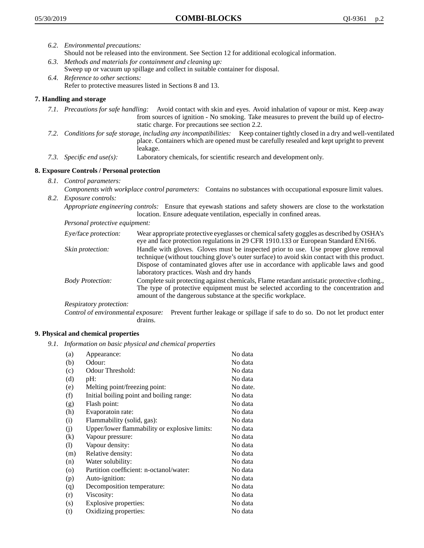- *6.2. Environmental precautions:* Should not be released into the environment. See Section 12 for additional ecological information.
- *6.3. Methods and materials for containment and cleaning up:* Sweep up or vacuum up spillage and collect in suitable container for disposal.
- *6.4. Reference to other sections:* Refer to protective measures listed in Sections 8 and 13.

# **7. Handling and storage**

- *7.1. Precautions for safe handling:* Avoid contact with skin and eyes. Avoid inhalation of vapour or mist. Keep away from sources of ignition - No smoking. Take measures to prevent the build up of electrostatic charge. For precautions see section 2.2.
- *7.2. Conditions for safe storage, including any incompatibilities:* Keep container tightly closed in a dry and well-ventilated place. Containers which are opened must be carefully resealed and kept upright to prevent leakage.
- *7.3. Specific end use(s):* Laboratory chemicals, for scientific research and development only.

## **8. Exposure Controls / Personal protection**

- *8.1. Control parameters:*
- *Components with workplace control parameters:* Contains no substances with occupational exposure limit values. *8.2. Exposure controls:*

*Appropriate engineering controls:* Ensure that eyewash stations and safety showers are close to the workstation location. Ensure adequate ventilation, especially in confined areas.

*Personal protective equipment:*

| Eye/face protection:    | Wear appropriate protective eyeglasses or chemical safety goggles as described by OSHA's<br>eye and face protection regulations in 29 CFR 1910.133 or European Standard EN166.                                                                                                                                         |
|-------------------------|------------------------------------------------------------------------------------------------------------------------------------------------------------------------------------------------------------------------------------------------------------------------------------------------------------------------|
| Skin protection:        | Handle with gloves. Gloves must be inspected prior to use. Use proper glove removal<br>technique (without touching glove's outer surface) to avoid skin contact with this product.<br>Dispose of contaminated gloves after use in accordance with applicable laws and good<br>laboratory practices. Wash and dry hands |
| <b>Body Protection:</b> | Complete suit protecting against chemicals, Flame retardant antistatic protective clothing.,<br>The type of protective equipment must be selected according to the concentration and<br>amount of the dangerous substance at the specific workplace.                                                                   |
| Respiratory protection: |                                                                                                                                                                                                                                                                                                                        |

Control of environmental exposure: Prevent further leakage or spillage if safe to do so. Do not let product enter drains.

# **9. Physical and chemical properties**

*9.1. Information on basic physical and chemical properties*

| (a)      | Appearance:                                   | No data  |
|----------|-----------------------------------------------|----------|
| (b)      | Odour:                                        | No data  |
| (c)      | Odour Threshold:                              | No data  |
| (d)      | pH:                                           | No data  |
| (e)      | Melting point/freezing point:                 | No date. |
| (f)      | Initial boiling point and boiling range:      | No data  |
| (g)      | Flash point:                                  | No data  |
| (h)      | Evaporatoin rate:                             | No data  |
| (i)      | Flammability (solid, gas):                    | No data  |
| (j)      | Upper/lower flammability or explosive limits: | No data  |
| $\rm(k)$ | Vapour pressure:                              | No data  |
| (1)      | Vapour density:                               | No data  |
| (m)      | Relative density:                             | No data  |
| (n)      | Water solubility:                             | No data  |
| $\circ$  | Partition coefficient: n-octanol/water:       | No data  |
| (p)      | Auto-ignition:                                | No data  |
| (q)      | Decomposition temperature:                    | No data  |
| (r)      | Viscosity:                                    | No data  |
| (s)      | Explosive properties:                         | No data  |
| (t)      | Oxidizing properties:                         | No data  |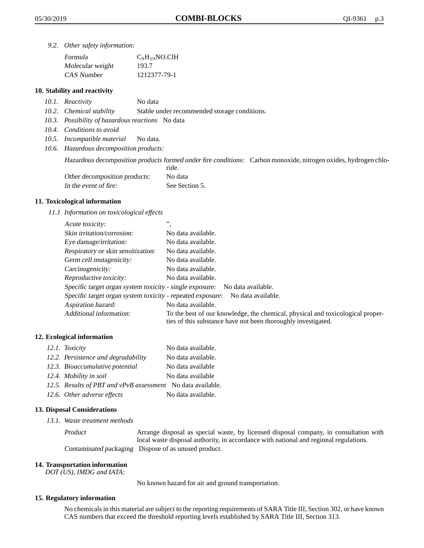*9.2. Other safety information:*

| Formula          | $C_9H_{19}NO$ .ClH |
|------------------|--------------------|
| Molecular weight | 193.7              |
| CAS Number       | 1212377-79-1       |

## **10. Stability and reactivity**

- *10.1. Reactivity* No data
- *10.2. Chemical stability* Stable under recommended storage conditions.
- *10.3. Possibility of hazardous reactions* No data
- *10.4. Conditions to avoid*
- *10.5. Incompatible material* No data.
- *10.6. Hazardous decomposition products:*

Hazardous decomposition products formed under fire conditions: Carbon monoxide, nitrogen oxides, hydrogen chlo-

|                               | ride.          |
|-------------------------------|----------------|
| Other decomposition products: | No data        |
| In the event of fire:         | See Section 5. |

## **11. Toxicological information**

*11.1 Information on toxicological effects*

| Acute toxicity:                                                                  | ,,                                                                                                                                              |  |
|----------------------------------------------------------------------------------|-------------------------------------------------------------------------------------------------------------------------------------------------|--|
| Skin irritation/corrosion:                                                       | No data available.                                                                                                                              |  |
| Eye damage/irritation:                                                           | No data available.                                                                                                                              |  |
| Respiratory or skin sensitization:                                               | No data available.                                                                                                                              |  |
| Germ cell mutagenicity:                                                          | No data available.                                                                                                                              |  |
| Carcinogenicity:                                                                 | No data available.                                                                                                                              |  |
| Reproductive toxicity:                                                           | No data available.                                                                                                                              |  |
| Specific target organ system toxicity - single exposure:<br>No data available.   |                                                                                                                                                 |  |
| Specific target organ system toxicity - repeated exposure:<br>No data available. |                                                                                                                                                 |  |
| Aspiration hazard:                                                               | No data available.                                                                                                                              |  |
| Additional information:                                                          | To the best of our knowledge, the chemical, physical and toxicological proper-<br>ties of this substance have not been thoroughly investigated. |  |

## **12. Ecological information**

| 12.1. Toxicity                                              | No data available. |
|-------------------------------------------------------------|--------------------|
| 12.2. Persistence and degradability                         | No data available. |
| 12.3. Bioaccumulative potential                             | No data available  |
| 12.4. Mobility in soil                                      | No data available  |
| 12.5. Results of PBT and vPvB assessment No data available. |                    |
| 12.6. Other adverse effects                                 | No data available. |

## **13. Disposal Considerations**

*13.1. Waste treatment methods*

Product Arrange disposal as special waste, by licensed disposal company, in consultation with local waste disposal authority, in accordance with national and regional regulations. Contaminated packaging Dispose of as unused product.

#### **14. Transportation information**

*DOT (US), IMDG and IATA:*

No known hazard for air and ground transportation.

## **15. Regulatory information**

No chemicals in this material are subject to the reporting requirements of SARA Title III, Section 302, or have known CAS numbers that exceed the threshold reporting levels established by SARA Title III, Section 313.